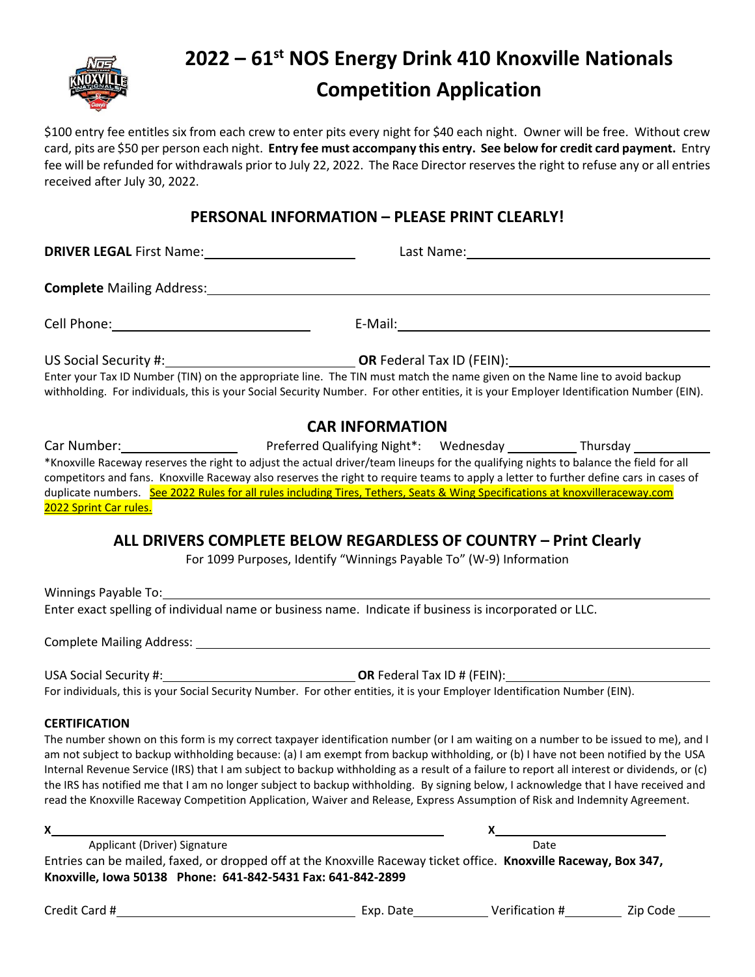

# **2022 – 61 st NOS Energy Drink 410 Knoxville Nationals Competition Application**

\$100 entry fee entitles six from each crew to enter pits every night for \$40 each night. Owner will be free. Without crew card, pits are \$50 per person each night. **Entry fee must accompany this entry. See below for credit card payment.** Entry fee will be refunded for withdrawals prior to July 22, 2022.The Race Director reserves the right to refuse any or all entries received after July 30, 2022.

## **PERSONAL INFORMATION – PLEASE PRINT CLEARLY!**

**DRIVER LEGAL** First Name: Last Name: Last Name: Last Name:

**Complete** Mailing Address:

Cell Phone: E-Mail:

US Social Security #: **OR** Federal Tax ID (FEIN):

Enter your Tax ID Number (TIN) on the appropriate line. The TIN must match the name given on the Name line to avoid backup withholding. For individuals, this is your Social Security Number. For other entities, it is your Employer Identification Number (EIN).

### **CAR INFORMATION**

Car Number: Preferred Qualifying Night\*: Wednesday Thursday \*Knoxville Raceway reserves the right to adjust the actual driver/team lineups for the qualifying nights to balance the field for all competitors and fans. Knoxville Raceway also reserves the right to require teams to apply a letter to further define cars in cases of duplicate numbers. See 2022 Rules for all rules including Tires, Tethers, Seats & Wing Specifications at knoxvilleraceway.com 2022 Sprint Car rules.

## **ALL DRIVERS COMPLETE BELOW REGARDLESS OF COUNTRY – Print Clearly**

For 1099 Purposes, Identify "Winnings Payable To" (W-9) Information

Winnings Payable To: Enter exact spelling of individual name or business name. Indicate if business is incorporated or LLC.

Complete Mailing Address:

USA Social Security #: **OR** Federal Tax ID # (FEIN): For individuals, this is your Social Security Number. For other entities, it is your Employer Identification Number (EIN).

#### **CERTIFICATION**

The number shown on this form is my correct taxpayer identification number (or I am waiting on a number to be issued to me), and I am not subject to backup withholding because: (a) I am exempt from backup withholding, or (b) I have not been notified by the USA Internal Revenue Service (IRS) that I am subject to backup withholding as a result of a failure to report all interest or dividends, or (c) the IRS has notified me that I am no longer subject to backup withholding. By signing below, I acknowledge that I have received and read the Knoxville Raceway Competition Application, Waiver and Release, Express Assumption of Risk and Indemnity Agreement.

| x                                                                                                                |  |      |  |  |
|------------------------------------------------------------------------------------------------------------------|--|------|--|--|
| Applicant (Driver) Signature                                                                                     |  | Date |  |  |
| Entries can be mailed, faxed, or dropped off at the Knoxville Raceway ticket office. Knoxville Raceway, Box 347, |  |      |  |  |
| Knoxville, Iowa 50138 Phone: 641-842-5431 Fax: 641-842-2899                                                      |  |      |  |  |
|                                                                                                                  |  |      |  |  |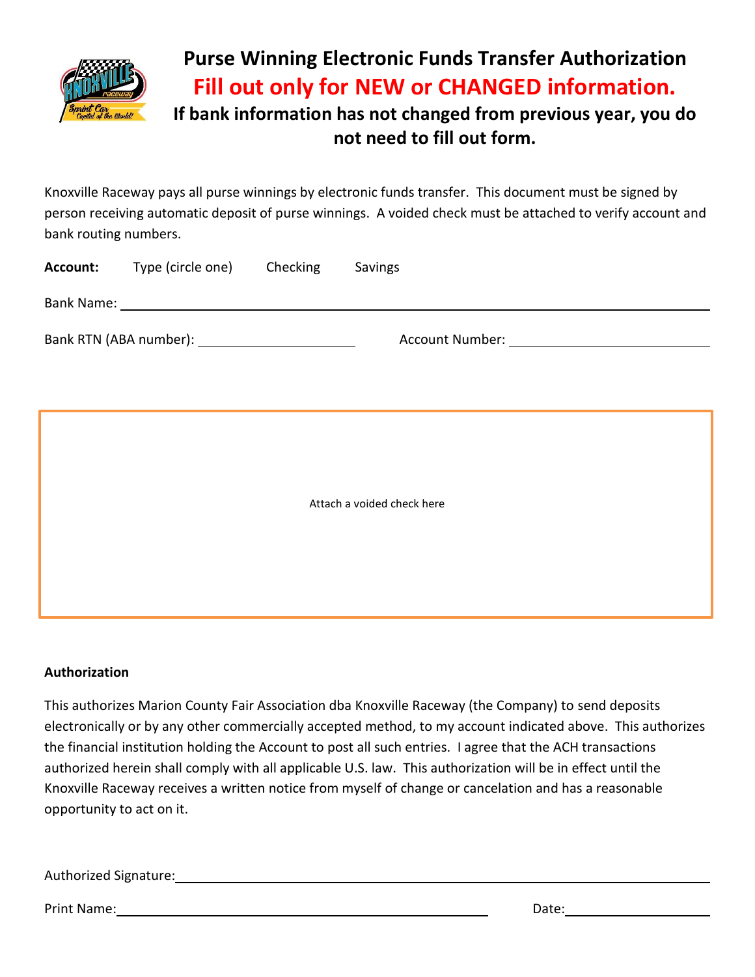

## **Purse Winning Electronic Funds Transfer Authorization Fill out only for NEW or CHANGED information. If bank information has not changed from previous year, you do**

## **not need to fill out form.**

Knoxville Raceway pays all purse winnings by electronic funds transfer. This document must be signed by person receiving automatic deposit of purse winnings. A voided check must be attached to verify account and bank routing numbers.

| Account:                   | Type (circle one) Checking                         |  | Savings |  |  |
|----------------------------|----------------------------------------------------|--|---------|--|--|
|                            |                                                    |  |         |  |  |
|                            | Bank RTN (ABA number): ___________________________ |  |         |  |  |
|                            |                                                    |  |         |  |  |
|                            |                                                    |  |         |  |  |
|                            |                                                    |  |         |  |  |
|                            |                                                    |  |         |  |  |
| Attach a voided check here |                                                    |  |         |  |  |
|                            |                                                    |  |         |  |  |
|                            |                                                    |  |         |  |  |
|                            |                                                    |  |         |  |  |
|                            |                                                    |  |         |  |  |

### **Authorization**

This authorizes Marion County Fair Association dba Knoxville Raceway (the Company) to send deposits electronically or by any other commercially accepted method, to my account indicated above. This authorizes the financial institution holding the Account to post all such entries. I agree that the ACH transactions authorized herein shall comply with all applicable U.S. law. This authorization will be in effect until the Knoxville Raceway receives a written notice from myself of change or cancelation and has a reasonable opportunity to act on it.

Authorized Signature:

Print Name: Date: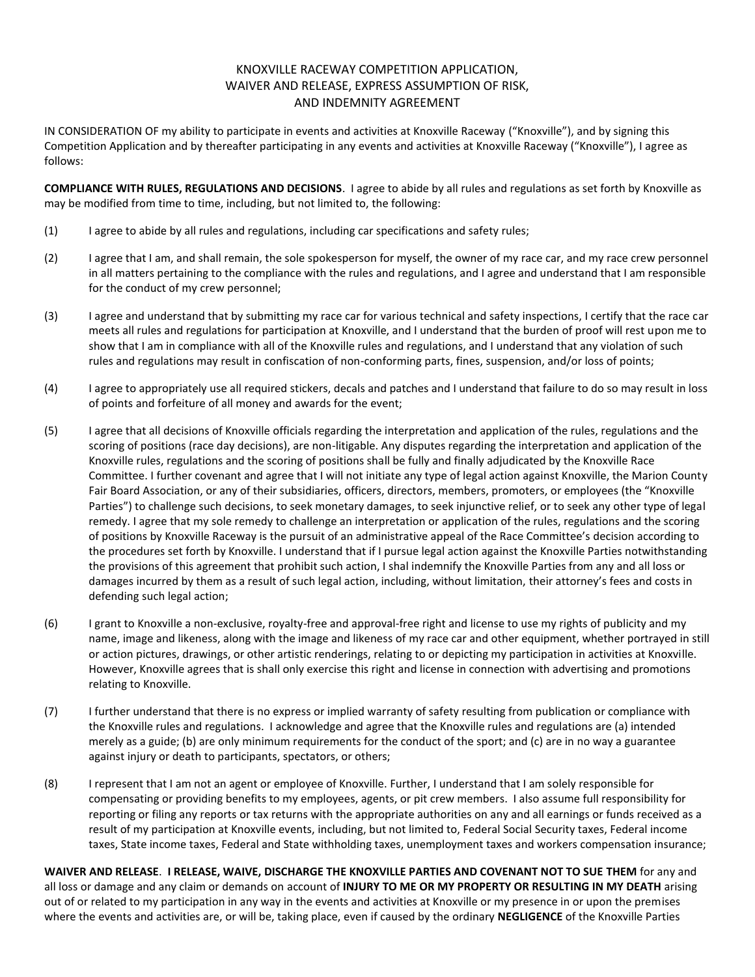#### KNOXVILLE RACEWAY COMPETITION APPLICATION, WAIVER AND RELEASE, EXPRESS ASSUMPTION OF RISK, AND INDEMNITY AGREEMENT

IN CONSIDERATION OF my ability to participate in events and activities at Knoxville Raceway ("Knoxville"), and by signing this Competition Application and by thereafter participating in any events and activities at Knoxville Raceway ("Knoxville"), I agree as follows:

**COMPLIANCE WITH RULES, REGULATIONS AND DECISIONS**. I agree to abide by all rules and regulations as set forth by Knoxville as may be modified from time to time, including, but not limited to, the following:

- (1) I agree to abide by all rules and regulations, including car specifications and safety rules;
- (2) I agree that I am, and shall remain, the sole spokesperson for myself, the owner of my race car, and my race crew personnel in all matters pertaining to the compliance with the rules and regulations, and I agree and understand that I am responsible for the conduct of my crew personnel;
- (3) I agree and understand that by submitting my race car for various technical and safety inspections, I certify that the race car meets all rules and regulations for participation at Knoxville, and I understand that the burden of proof will rest upon me to show that I am in compliance with all of the Knoxville rules and regulations, and I understand that any violation of such rules and regulations may result in confiscation of non-conforming parts, fines, suspension, and/or loss of points;
- (4) I agree to appropriately use all required stickers, decals and patches and I understand that failure to do so may result in loss of points and forfeiture of all money and awards for the event;
- (5) I agree that all decisions of Knoxville officials regarding the interpretation and application of the rules, regulations and the scoring of positions (race day decisions), are non-litigable. Any disputes regarding the interpretation and application of the Knoxville rules, regulations and the scoring of positions shall be fully and finally adjudicated by the Knoxville Race Committee. I further covenant and agree that I will not initiate any type of legal action against Knoxville, the Marion County Fair Board Association, or any of their subsidiaries, officers, directors, members, promoters, or employees (the "Knoxville Parties") to challenge such decisions, to seek monetary damages, to seek injunctive relief, or to seek any other type of legal remedy. I agree that my sole remedy to challenge an interpretation or application of the rules, regulations and the scoring of positions by Knoxville Raceway is the pursuit of an administrative appeal of the Race Committee's decision according to the procedures set forth by Knoxville. I understand that if I pursue legal action against the Knoxville Parties notwithstanding the provisions of this agreement that prohibit such action, I shal indemnify the Knoxville Parties from any and all loss or damages incurred by them as a result of such legal action, including, without limitation, their attorney's fees and costs in defending such legal action;
- (6) I grant to Knoxville a non-exclusive, royalty-free and approval-free right and license to use my rights of publicity and my name, image and likeness, along with the image and likeness of my race car and other equipment, whether portrayed in still or action pictures, drawings, or other artistic renderings, relating to or depicting my participation in activities at Knoxville. However, Knoxville agrees that is shall only exercise this right and license in connection with advertising and promotions relating to Knoxville.
- (7) I further understand that there is no express or implied warranty of safety resulting from publication or compliance with the Knoxville rules and regulations. I acknowledge and agree that the Knoxville rules and regulations are (a) intended merely as a guide; (b) are only minimum requirements for the conduct of the sport; and (c) are in no way a guarantee against injury or death to participants, spectators, or others;
- (8) I represent that I am not an agent or employee of Knoxville. Further, I understand that I am solely responsible for compensating or providing benefits to my employees, agents, or pit crew members. I also assume full responsibility for reporting or filing any reports or tax returns with the appropriate authorities on any and all earnings or funds received as a result of my participation at Knoxville events, including, but not limited to, Federal Social Security taxes, Federal income taxes, State income taxes, Federal and State withholding taxes, unemployment taxes and workers compensation insurance;

**WAIVER AND RELEASE**. **I RELEASE, WAIVE, DISCHARGE THE KNOXVILLE PARTIES AND COVENANT NOT TO SUE THEM** for any and all loss or damage and any claim or demands on account of **INJURY TO ME OR MY PROPERTY OR RESULTING IN MY DEATH** arising out of or related to my participation in any way in the events and activities at Knoxville or my presence in or upon the premises where the events and activities are, or will be, taking place, even if caused by the ordinary **NEGLIGENCE** of the Knoxville Parties